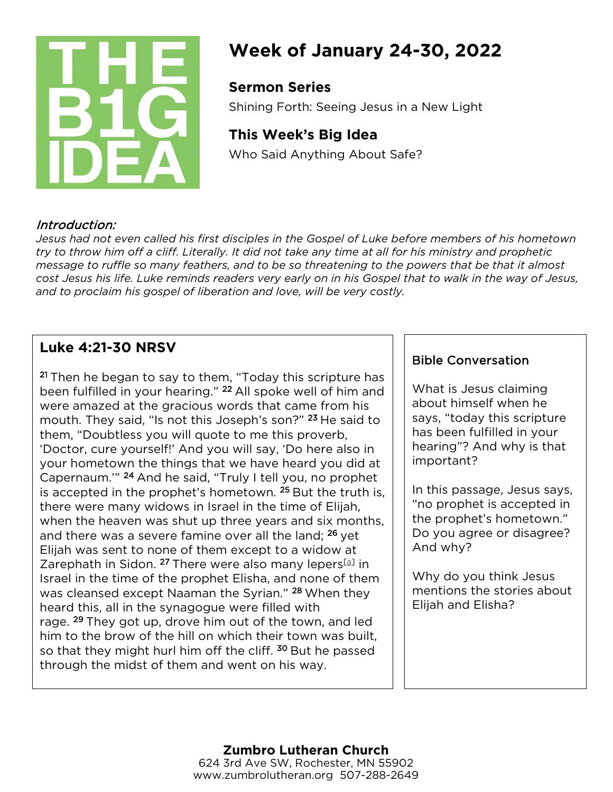

# **Week of January 24-30, 2022**

## **Sermon Series**

Shining Forth: Seeing Jesus in a New Light

## **This Week's Big Idea**

Who Said Anything About Safe?

## Introduction:

*Jesus had not even called his first disciples in the Gospel of Luke before members of his hometown try to throw him off a cliff. Literally. It did not take any time at all for his ministry and prophetic message to ruffle so many feathers, and to be so threatening to the powers that be that it almost cost Jesus his life. Luke reminds readers very early on in his Gospel that to walk in the way of Jesus, and to proclaim his gospel of liberation and love, will be very costly.*

## **Luke 4:21-30 NRSV**

<sup>21</sup> Then he began to say to them, "Today this scripture has been fulfilled in your hearing." <sup>22</sup> All spoke well of him and were amazed at the gracious words that came from his mouth. They said, "Is not this Joseph's son?" <sup>23</sup> He said to them, "Doubtless you will quote to me this proverb, 'Doctor, cure yourself!' And you will say, 'Do here also in your hometown the things that we have heard you did at Capernaum.'" <sup>24</sup> And he said, "Truly I tell you, no prophet is accepted in the prophet's hometown. <sup>25</sup> But the truth is, there were many widows in Israel in the time of Elijah, when the heaven was shut up three years and six months, and there was a severe famine over all the land; <sup>26</sup> yet Elijah was sent to none of them except to a widow at Zarephath in Sidon. <sup>27</sup> There were also many lepers<sup>[\[a\]](https://www.biblegateway.com/passage/?search=Luke%204%3A21-30&version=NRSV&interface=print#fen-NRSV-25083a)</sup> in Israel in the time of the prophet Elisha, and none of them was cleansed except Naaman the Syrian." <sup>28</sup> When they heard this, all in the synagogue were filled with rage. <sup>29</sup> They got up, drove him out of the town, and led him to the brow of the hill on which their town was built, so that they might hurl him off the cliff. <sup>30</sup> But he passed through the midst of them and went on his way.

## Bible Conversation

What is Jesus claiming about himself when he says, "today this scripture has been fulfilled in your hearing"? And why is that important?

In this passage, Jesus says, "no prophet is accepted in the prophet's hometown." Do you agree or disagree? And why?

Why do you think Jesus mentions the stories about Elijah and Elisha?